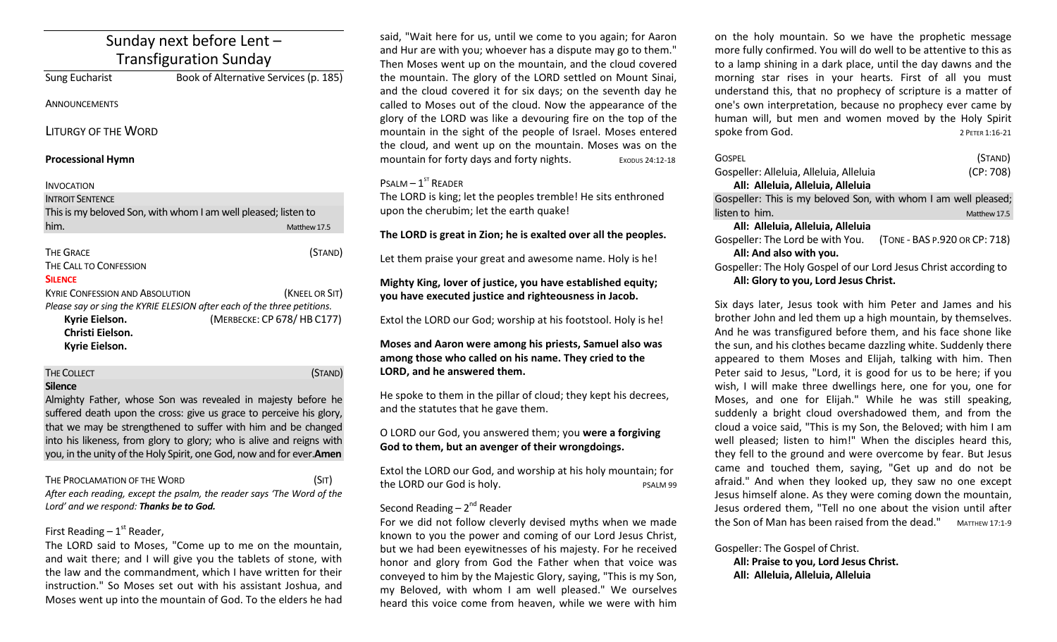## Sunday next before Lent – Transfiguration Sunday Sung Eucharist Book of Alternative Services (p. 185) ANNOUNCEMENTS LITURGY OF THE WORD **Processional Hymn** INVOCATION **INTROIT SENTENCE** This is my beloved Son, with whom I am well pleased; listen to him. Matthew 17.5 THE GRACE (STAND) THE CALL TO CONFESSION **SILENCE** KYRIE CONFESSION AND ABSOLUTION(KNEEL OR SIT) *Please say or sing the KYRIE ELESION after each of the three petitions.*  **Kyrie Eielson.** (MERBECKE: CP 678/ HB C177) **Christi Eielson. Kyrie Eielson.**

THE COLLECT **THE COLLECT COLLECT COLLECT COLLECT COLLECT COLLECT COLLECT Silence** Almighty Father, whose Son was revealed in majesty before he

suffered death upon the cross: give us grace to perceive his glory, that we may be strengthened to suffer with him and be changed into his likeness, from glory to glory; who is alive and reigns with you, in the unity of the Holy Spirit, one God, now and for ever.**Amen**

THE PROCLAMATION OF THE WORD (SIT) *After each reading, except the psalm, the reader says 'The Word of the Lord' and we respond: Thanks be to God.* 

## First Reading –  $1<sup>st</sup>$  Reader,

The LORD said to Moses, "Come up to me on the mountain, and wait there; and I will give you the tablets of stone, with the law and the commandment, which I have written for their instruction." So Moses set out with his assistant Joshua, and Moses went up into the mountain of God. To the elders he had

said, "Wait here for us, until we come to you again; for Aaron and Hur are with you; whoever has a dispute may go to them." Then Moses went up on the mountain, and the cloud covered the mountain. The glory of the LORD settled on Mount Sinai, and the cloud covered it for six days; on the seventh day he called to Moses out of the cloud. Now the appearance of the glory of the LORD was like a devouring fire on the top of the mountain in the sight of the people of Israel. Moses entered the cloud, and went up on the mountain. Moses was on the mountain for forty days and forty nights. EXODUS 24:12-18

## $P$ SALM  $-1$ <sup>ST</sup> READER

The LORD is king; let the peoples tremble! He sits enthroned upon the cherubim; let the earth quake!

## **The LORD is great in Zion; he is exalted over all the peoples.**

Let them praise your great and awesome name. Holy is he!

## **Mighty King, lover of justice, you have established equity; you have executed justice and righteousness in Jacob.**

Extol the LORD our God; worship at his footstool. Holy is he!

## **Moses and Aaron were among his priests, Samuel also was among those who called on his name. They cried to the LORD, and he answered them.**

He spoke to them in the pillar of cloud; they kept his decrees, and the statutes that he gave them.

## O LORD our God, you answered them; you **were a forgiving God to them, but an avenger of their wrongdoings.**

Extol the LORD our God, and worship at his holy mountain; for the LORD our God is holy. The LORD our God is holy.

## Second Reading – 2<sup>nd</sup> Reader

For we did not follow cleverly devised myths when we made known to you the power and coming of our Lord Jesus Christ, but we had been eyewitnesses of his majesty. For he received honor and glory from God the Father when that voice was conveyed to him by the Majestic Glory, saying, "This is my Son, my Beloved, with whom I am well pleased." We ourselves heard this voice come from heaven, while we were with him

on the holy mountain. So we have the prophetic message more fully confirmed. You will do well to be attentive to this as to a lamp shining in a dark place, until the day dawns and the morning star rises in your hearts. First of all you must understand this, that no prophecy of scripture is a matter of one's own interpretation, because no prophecy ever came by human will, but men and women moved by the Holy Spirit Spoke from God. 2 PETER 1:16-21

| GOSPEL                                                           | (STAND)                       |
|------------------------------------------------------------------|-------------------------------|
| Gospeller: Alleluia, Alleluia, Alleluia                          | (CP: 708)                     |
| All: Alleluia, Alleluia, Alleluia                                |                               |
| Gospeller: This is my beloved Son, with whom I am well pleased;  |                               |
| listen to him.                                                   | Matthew 17.5                  |
| All: Alleluia, Alleluia, Alleluia                                |                               |
| Gospeller: The Lord be with You.                                 | (TONE - BAS P.920 OR CP: 718) |
| All: And also with you.                                          |                               |
| Gospeller: The Holy Gospel of our Lord Jesus Christ according to |                               |

#### **All: Glory to you, Lord Jesus Christ.**

Six days later, Jesus took with him Peter and James and his brother John and led them up a high mountain, by themselves. And he was transfigured before them, and his face shone like the sun, and his clothes became dazzling white. Suddenly there appeared to them Moses and Elijah, talking with him. Then Peter said to Jesus, "Lord, it is good for us to be here; if you wish, I will make three dwellings here, one for you, one for Moses, and one for Elijah." While he was still speaking, suddenly a bright cloud overshadowed them, and from the cloud a voice said, "This is my Son, the Beloved; with him I am well pleased; listen to him!" When the disciples heard this, they fell to the ground and were overcome by fear. But Jesus came and touched them, saying, "Get up and do not be afraid." And when they looked up, they saw no one except Jesus himself alone. As they were coming down the mountain, Jesus ordered them, "Tell no one about the vision until after the Son of Man has been raised from the dead." MATTHEW 17:1-9

Gospeller: The Gospel of Christ.

**All: Praise to you, Lord Jesus Christ. All: Alleluia, Alleluia, Alleluia**